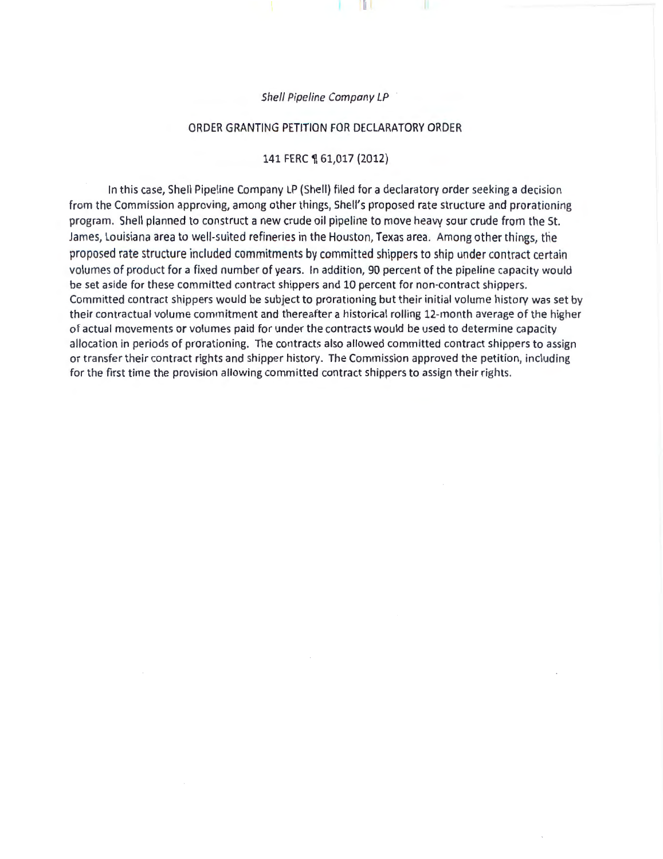Shell Pipeline Company LP

#### ORDER GRANTING PETITION FOR DECLARATORY ORDER

#### 141 FERC ¶ 61,017 (2012)

In this case, Shell Pipeline Company LP (Shell} filed for a declaratory order seeking a decision from the Commission approving, among other things, Shell's proposed rate structure and prorationing program. Shell planned to construct a new crude oil pipeline to move heavy sour crude from the St. James, Louisiana area to well-suited refineries in the Houston, Texas area. Among other things, the proposed rate structure included commitments by committed shippers to ship under contract certain volumes of product for a fixed number of years. In addition, 90 percent of the pipeline capacity would be set aside for these committed contract shippers and 10 percent for non-contract shippers. Committed contract shippers would be subject to prorationing but their initial volume history was set by their contractual volume commitment and thereafter a historical rolling 12-month average of the higher of actual movements or volumes paid for under the contracts would be used to determine capacity allocation in periods of prorationing. The contracts also allowed committed contract shippers to assign or transfer their contract rights and shipper history. The Commission approved the petition, including for the first time the provision allowing committed contract shippers to assign their rights.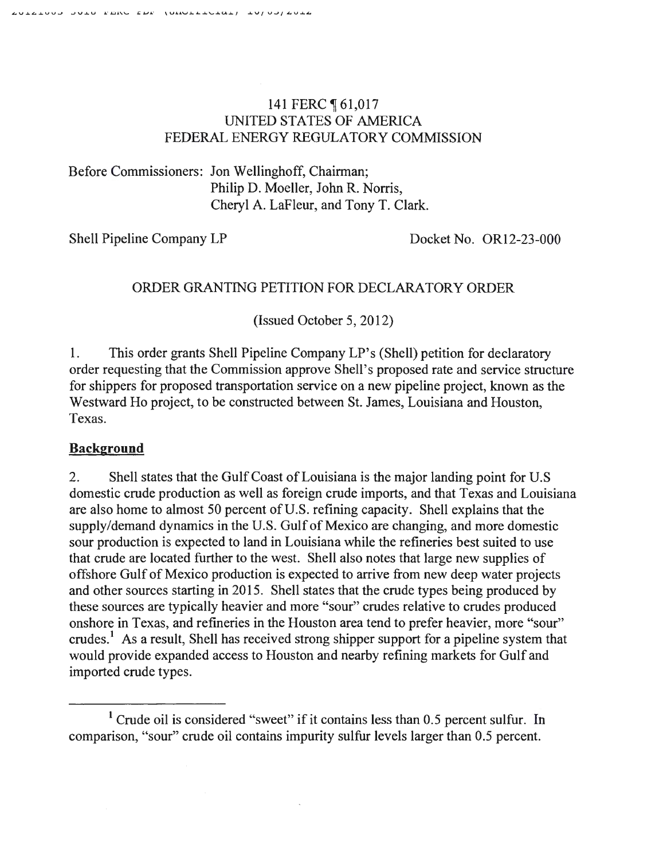### 141 FERC ¶ 61,017 UNITED STATES OF AMERICA FEDERAL ENERGY REGULATORY COMMISSION

Before Commissioners: Jon Wellinghoff, Chairman; Philip D. Moeller, John R. Norris, Cheryl A. LaFleur, and Tony T. Clark.

Shell Pipeline Company LP Docket No. OR12-23-000

# ORDER GRANTING PETITION FOR DECLARATORY ORDER

(Issued October 5, 2012)

1. This order grants Shell Pipeline Company LP's (Shell) petition for declaratory order requesting that the Commission approve Shell's proposed rate and service structure for shippers for proposed transportation service on a new pipeline project, known as the Westward Ho project, to be constructed between St. James, Louisiana and Houston, Texas.

### **Background**

2. Shell states that the Gulf Coast of Louisiana is the major landing point for U.S domestic crude production as well as foreign crude imports, and that Texas and Louisiana are also home to almost 50 percent of U.S. refining capacity. Shell explains that the supply/demand dynamics in the U.S. Gulf of Mexico are changing, and more domestic sour production is expected to land in Louisiana while the refineries best suited to use that crude are located further to the west. Shell also notes that large new supplies of offshore Gulf of Mexico production is expected to arrive from new deep water projects and other sources starting in 2015. Shell states that the crude types being produced by these sources are typically heavier and more "sour" crudes relative to crudes produced onshore in Texas, and refineries in the Houston area tend to prefer heavier, more "sour" crudes.<sup>1</sup> As a result, Shell has received strong shipper support for a pipeline system that would provide expanded access to Houston and nearby refining markets for Gulf and imported crude types.

<sup>&</sup>lt;sup>1</sup> Crude oil is considered "sweet" if it contains less than 0.5 percent sulfur. In comparison, "sour" crude oil contains impurity sulfur levels larger than 0.5 percent.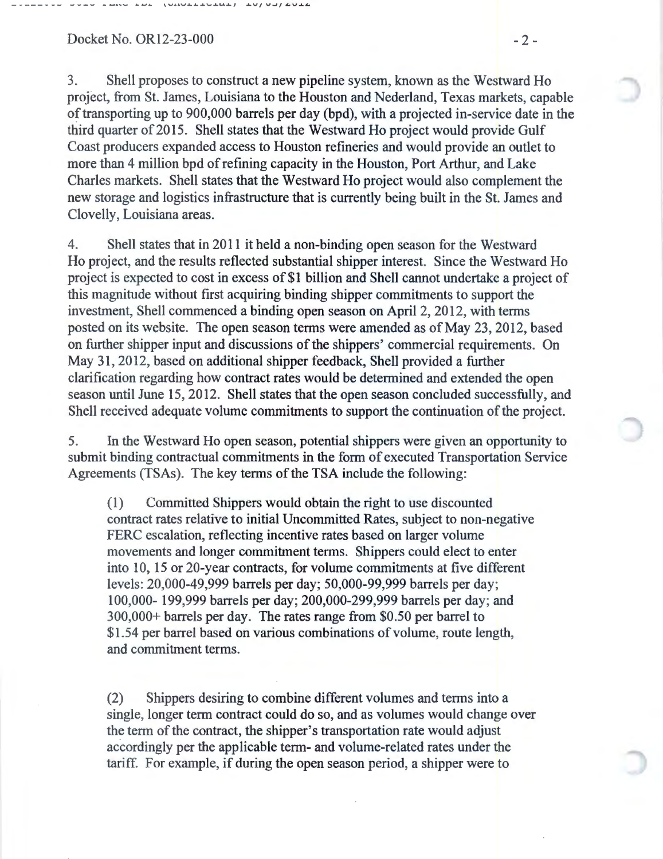Docket No. OR12-23-000 - 2 -

- - ---- -- \_. ...,. \_..., \_\_ ..,,..\_ ,..\_..\_ **,...., ...... \_""-.\_"""-...\_.•11..4...&-J** VJ V..JfJ:...V•~

3. Shell proposes to construct a new pipeline system, known as the Westward Ho project, from St. James, Louisiana to the Houston and Nederland, Texas markets, capable of transporting up to 900,000 barrels per day (bpd), with a projected in-service date in the third quarter of 2015. Shell states that the Westward Ho project would provide Gulf Coast producers expanded access to Houston refineries and would provide an outlet to more than 4 million bpd of refining capacity in the Houston, Port Arthur, and Lake Charles markets. Shell states that the Westward Ho project would also complement the new storage and logistics infrastructure that is currently being built in the St. James and Clovelly, Louisiana areas.

4. Shell states that in 2011 it held a non-binding open season for the Westward Ho project, and the results reflected substantial shipper interest. Since the Westward Ho project is expected to cost in excess of \$1 billion and Shell cannot undertake a project of this magnitude without first acquiring binding shipper commitments to support the investment, Shell commenced a binding open season on April 2, 2012, with terms posted on its website. The open season terms were amended as of May 23, 2012, based on further shipper input and discussions of the shippers' commercial requirements. On May 31, 2012, based on additional shipper feedback, Shell provided a further clarification regarding how contract rates would be determined and extended the open season until June 15, 2012. Shell states that the open season concluded successfully, and Shell received adequate volume commitments to support the continuation of the project.

5. In the Westward Ho open season, potential shippers were given an opportunity to submit binding contractual commitments in the form of executed Transportation Service Agreements (TSAs). The key terms of the TSA include the following:

(1) Committed Shippers would obtain the right to use discounted contract rates relative to initial Uncommitted Rates, subject to non-negative FERC escalation, reflecting incentive rates based on larger volume movements and longer commitment terms. Shippers could elect to enter into 10, 15 or 20-year contracts, for volume commitments at five different levels: 20,000-49,999 barrels per day; 50,000-99,999 barrels per day; 100,000- 199,999 barrels per day; 200,000-299,999 barrels per day; and 300,000+ barrels per day. The rates range from \$0.50 per barrel to \$1.54 per barrel based on various combinations of volume, route length, and commitment terms.

(2) Shippers desiring to combine different volumes and terms into a single, longer term contract could do so, and as volumes would change over the term of the contract, the shipper's transportation rate would adjust accordingly per the applicable term- and volume-related rates under the tariff. For example, if during the open season period, a shipper were to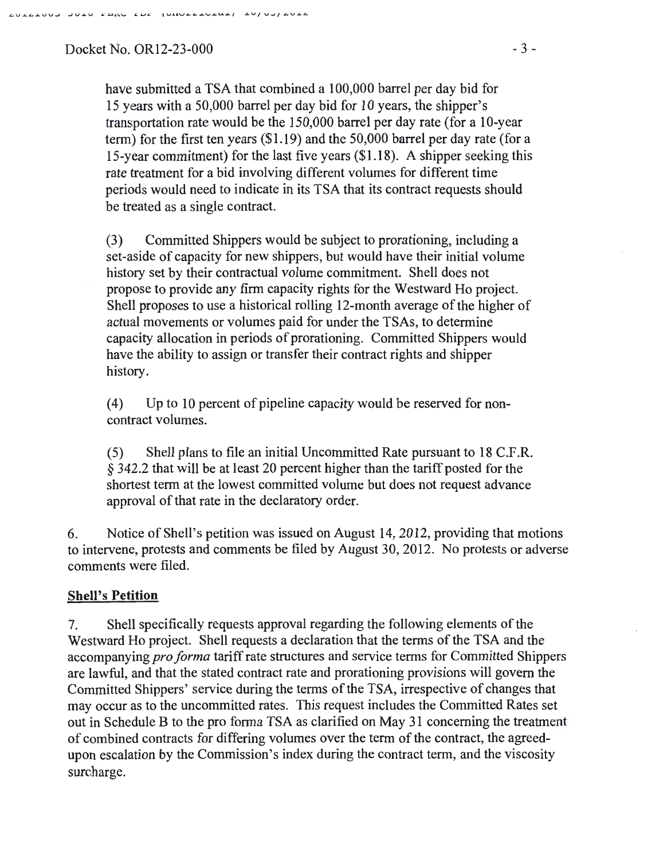JUID FERO EDE (ONGETOTOT) TALASI GATE

Docket No. OR12-23-000 - 3 -

have submitted a TSA that combined a 100,000 barrel per day bid for 15 years with a 50,000 barrel per day bid for 10 years, the shipper's transportation rate would be the 150,000 barrel per day rate (for a 10-year term) for the first ten years (\$1.19) and the 50,000 barrel per day rate (for a 15-year commitment) for the last five years (\$1.18). A shipper seeking this rate treatment for a bid involving different volumes for different time periods would need to indicate in its TSA that its contract requests should be treated as a single contract.

(3) Committed Shippers would be subject to prorationing, including a set-aside of capacity for new shippers, but would have their initial volume history set by their contractual volume commitment. Shell does not propose to provide any firm capacity rights for the Westward Ho project. Shell proposes to use a historical rolling 12-month average of the higher of actual movements or volumes paid for under the TSAs, to determine capacity allocation in periods of prorationing. Committed Shippers would have the ability to assign or transfer their contract rights and shipper history.

(4) Up to 10 percent of pipeline capacity would be reserved for noncontract volumes.

(5) Shell plans to file an initial Uncommitted Rate pursuant to 18 C.P.R. § 342.2 that will be at least 20 percent higher than the tariff posted for the shortest term at the lowest committed volume but does not request advance approval of that rate in the declaratory order.

6. Notice of Shell's petition was issued on August 14, 2012, providing that motions to intervene, protests and comments be filed by August 30, 2012. No protests or adverse comments were filed.

## Shell's **Petition**

7. Shell specifically requests approval regarding the following elements of the Westward Ho project. Shell requests a declaration that the terms of the TSA and the accompanying *pro forma* tariff rate structures and service terms for Committed Shippers are lawful, and that the stated contract rate and prorationing provisions will govern the Committed Shippers' service during the terms of the TSA, irrespective of changes that may occur as to the uncommitted rates. This request includes the Committed Rates set out in Schedule B to the pro forma TSA as clarified on May 31 concerning the treatment of combined contracts for differing volumes over the term of the contract, the agreedupon escalation by the Commission's index during the contract term, and the viscosity surcharge.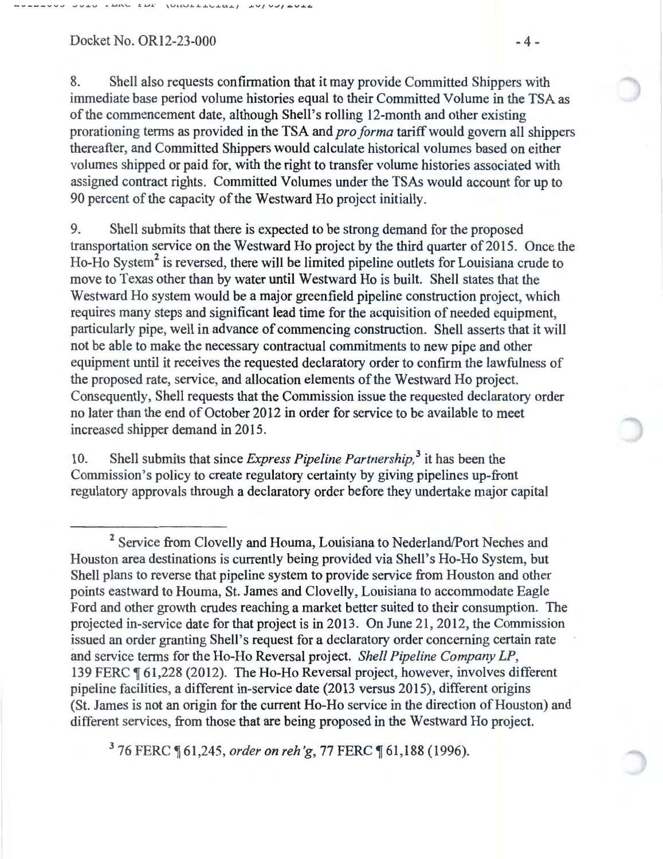Docket No. OR12-23-000 - 4 -

8. Shell also requests confirmation that it may provide Committed Shippers with immediate base period volume histories equal to their Committed Volume in the TSA as of the commencement date, although Shell's rolling 12-month and other existing prorationing terms as provided in the TSA and *pro forma* tariff would govern all shippers thereafter, and Committed Shippers would calculate historical volumes based on either volumes shipped or paid for, with the right to transfer volume histories associated with assigned contract rights. Committed Volumes under the TSAs would account for up to 90 percent of the capacity of the Westward Ho project initially.

9. Shell submits that there is expected to be strong demand for the proposed transportation service on the Westward Ho project by the third quarter of 2015. Once the Ho-Ho System<sup>2</sup> is reversed, there will be limited pipeline outlets for Louisiana crude to move to Texas other than by water until Westward Ho is built. Shell states that the Westward Ho system would be a major greenfield pipeline construction project, which requires many steps and significant lead time for the acquisition of needed equipment, particularly pipe, well in advance of commencing construction. Shell asserts that it will not be able to make the necessary contractual commitments to new pipe and other equipment until it receives the requested declaratory order to confirm the lawfulness of the proposed rate, service, and allocation elements of the Westward Ho project. Consequently, Shell requests that the Commission issue the requested declaratory order no later than the end of October 2012 in order for service to be available to meet increased shipper demand in 2015.

10. Shell submits that since *Express Pipeline Partnership*,<sup>3</sup> it has been the Commission's policy to create regulatory certainty by giving pipelines up-front regulatory approvals through a declaratory order before they undertake major capital

<sup>3</sup> 76 FERC ¶ 61,245, *order on reh'g*, 77 FERC ¶ 61,188 (1996).

<sup>&</sup>lt;sup>2</sup> Service from Clovelly and Houma, Louisiana to Nederland/Port Neches and Houston area destinations is currently being provided via Shell's Ho-Ho System, but Shell plans to reverse that pipeline system to provide service from Houston and other points eastward to Houma, St. James and Clovelly, Louisiana to accommodate Eagle Ford and other growth crudes reaching a market better suited to their consumption. The projected in-service date for that project is in 20 13. On June 21,2012, the Commission issued an order granting Shell's request for a declaratory order concerning certain rate and service terms for the Ho-Ho Reversal project. *Shell Pipeline Company LP*, 139 FERC ¶ 61,228 (2012). The Ho-Ho Reversal project, however, involves different pipeline facilities, a different in-service date (2013 versus 2015), different origins (St. James is not an origin for the current Ho-Ho service in the direction of Houston) and different services, from those that are being proposed in the Westward Ho project.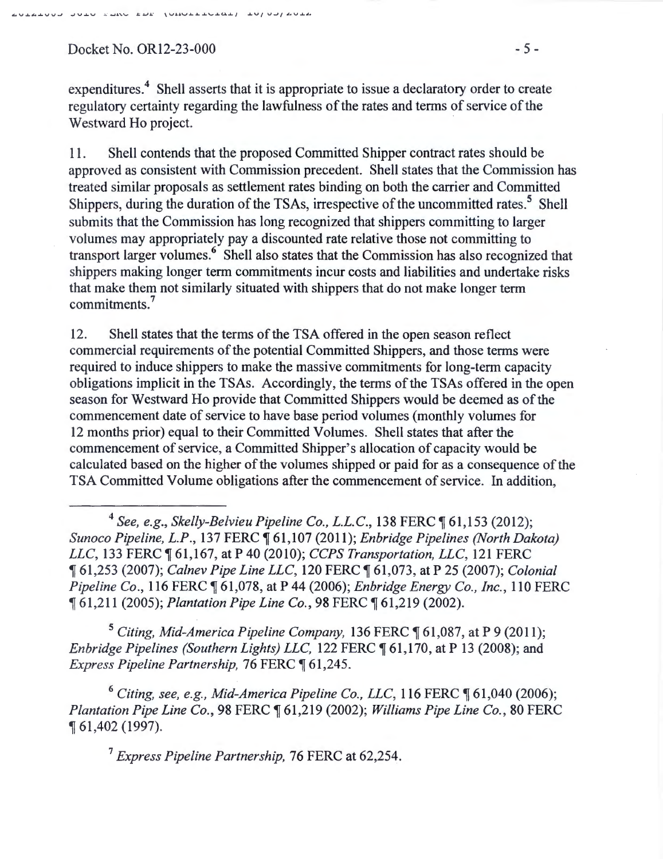$Docket No. OR12-23-000$  - 5 -

expenditures.<sup>4</sup> Shell asserts that it is appropriate to issue a declaratory order to create regulatory certainty regarding the lawfulness of the rates and terms of service of the Westward Ho project.

11. Shell contends that the proposed Committed Shipper contract rates should be approved as consistent with Commission precedent. Shell states that the Commission has treated similar proposals as settlement rates binding on both the carrier and Committed Shippers, during the duration of the TSAs, irrespective of the uncommitted rates.<sup>5</sup> Shell submits that the Commission has long recognized that shippers committing to larger volumes may appropriately pay a discounted rate relative those not committing to transport larger volumes.<sup>6</sup> Shell also states that the Commission has also recognized that shippers making longer term commitments incur costs and liabilities and undertake risks that make them not similarly situated with shippers that do not make longer term commitments. 7

12. Shell states that the terms of the TSA offered in the open season reflect commercial requirements of the potential Committed Shippers, and those terms were required to induce shippers to make the massive commitments for long-term capacity obligations implicit in the TSAs. Accordingly, the terms of the TSAs offered in the open season for Westward Ho provide that Committed Shippers would be deemed as of the commencement date of service to have base period volumes (monthly volumes for 12 months prior) equal to their Committed Volumes. Shell states that after the commencement of service, a Committed Shipper's allocation of capacity would be calculated based on the higher of the volumes shipped or paid for as a consequence of the TSA Committed Volume obligations after the commencement of service. In addition,

<sup>5</sup> Citing, Mid-America Pipeline Company, 136 FERC ¶ 61,087, at P 9 (2011); *Enbridge Pipelines (Southern Lights) LLC,* 122 FERC  $\P$  61,170, at P 13 (2008); and *Express Pipeline Partnership, 76 FERC*  $\P$  61,245.

<sup>6</sup> Citing, see, e.g., Mid-America Pipeline Co., LLC, 116 FERC  $\P$  61,040 (2006); *Plantation Pipe Line Co.,* 98 FERC ~ 61,219 (2002); *Williams Pipe Line Co.,* 80 FERC <sup>~</sup>61,402 (1997).

<sup>7</sup>*Express Pipeline Partnership,* 76 FERC at 62,254.

<sup>&</sup>lt;sup>4</sup> See, e.g., Skelly-Belvieu Pipeline Co., L.L.C., 138 FERC ¶ 61,153 (2012); *Sunoco Pipeline, L.P.,* 137 FERC ~ 61,107 (2011); *Enbridge Pipelines (North Dakota) LLC*, 133 FERC 161,167, at P 40 (2010); *CCPS Transportation, LLC*, 121 FERC <sup>~</sup>61,253 (2007); *Calnev Pipe Line LLC,* 120 FERC ~ 61,073, at P 25 (2007); *Colonial Pipeline Co.,* 116 FERC  $\P$  61,078, at P 44 (2006); *Enbridge Energy Co., Inc.*, 110 FERC <sup>~</sup>61,211 (2005); *Plantation Pipe Line Co.,* 98 FERC ~ 61,219 (2002).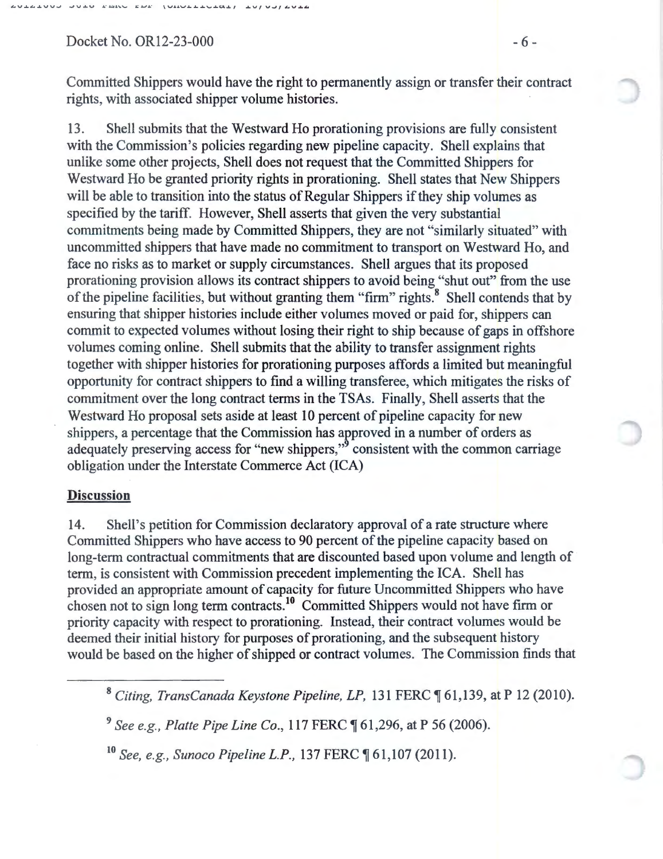$\mathbf{E}^{\prime}\mathbf{E}^{\prime}\mathbf{E}^{\prime}$ 

Docket No. OR12-23-000 - 6 -

Committed Shippers would have the right to permanently assign or transfer their contract rights, with associated shipper volume histories.

13. Shell submits that the Westward Ho prorationing provisions are fully consistent with the Commission's policies regarding new pipeline capacity. Shell explains that unlike some other projects, Shell does not request that the Committed Shippers for Westward Ho be granted priority rights in prorationing. Shell states that New Shippers will be able to transition into the status of Regular Shippers if they ship volumes as specified by the tariff. However, Shell asserts that given the very substantial commitments being made by Committed Shippers, they are not "similarly situated" with uncommitted shippers that have made no commitment to transport on Westward Ho, and face no risks as to market or supply circumstances. Shell argues that its proposed prorationing provision allows its contract shippers to avoid being "shut out" from the use of the pipeline facilities, but without granting them "firm" rights.<sup>8</sup> Shell contends that by ensuring that shipper histories include either volumes moved or paid for, shippers can commit to expected volumes without losing their right to ship because of gaps in offshore volumes coming online. Shell submits that the ability to transfer assignment rights together with shipper histories for prorationing purposes affords a limited but meaningful opportunity for contract shippers to find a willing transferee, which mitigates the risks of commitment over the long contract terms in the TSAs. Finally, Shell asserts that the Westward Ho proposal sets aside at least 10 percent of pipeline capacity for new shippers, a percentage that the Commission has approved in a number of orders as adequately preserving access for "new shippers," consistent with the common carriage obligation under the Interstate Commerce Act (ICA)

#### **Discussion**

14. Shell's petition for Commission declaratory approval of a rate structure where Committed Shippers who have access to 90 percent of the pipeline capacity based on long-term contractual commitments that are discounted based upon volume and length of term, is consistent with Commission precedent implementing the ICA. Shell has provided an appropriate amount of capacity for future Uncommitted Shippers who have provided an appropriate amount of capacity for future offectmented simpless who have firm or chosen not to sign long term contracts.<sup>10</sup> Committed Shippers would not have firm or priority capacity with respect to prorationing. Instead, their contract volumes would be deemed their initial history for purposes of prorationing, and the subsequent history would be based on the higher of shipped or contract volumes. The Commission finds that

<sup>&</sup>lt;sup>8</sup> Citing, TransCanada Keystone Pipeline, LP, 131 FERC ¶ 61,139, at P 12 (2010).

<sup>&</sup>lt;sup>9</sup> See e.g., Platte Pipe Line Co., 117 FERC ¶ 61,296, at P 56 (2006).

<sup>&</sup>lt;sup>10</sup> See, e.g., Sunoco Pipeline L.P., 137 FERC ¶ 61,107 (2011).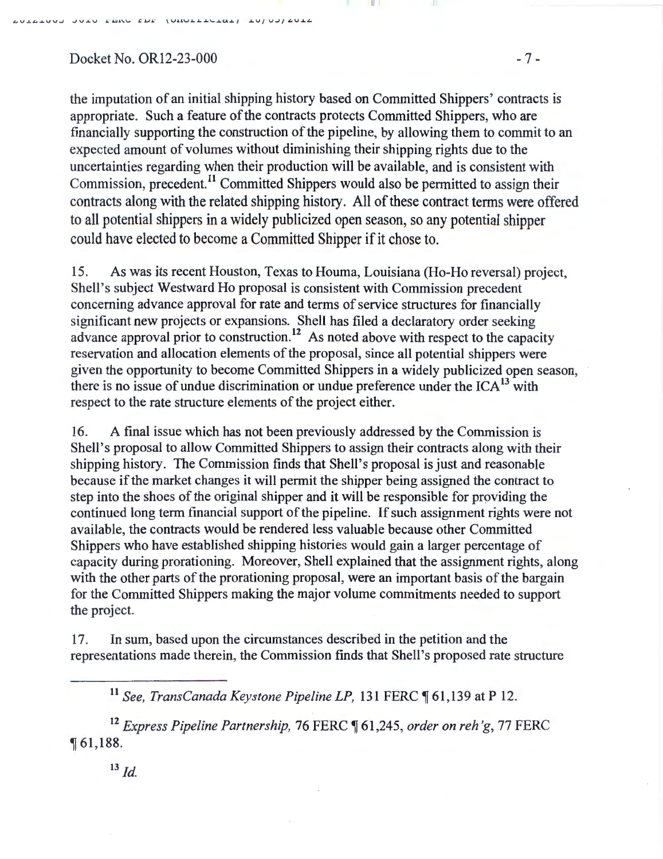$Docket No. OR12-23-000$  - 7 -

the imputation of an initial shipping history based on Committed Shippers' contracts is appropriate. Such a feature of the contracts protects Committed Shippers, who are financially supporting the construction of the pipeline, by allowing them to commit to an expected amount of volumes without diminishing their shipping rights due to the uncertainties regarding when their production will be available, and is consistent with Commission, precedent.<sup>11</sup> Committed Shippers would also be permitted to assign their contracts along with the related shipping history. All of these contract terms were offered to all potential shippers in a widely publicized open season, so any potential shipper could have elected to become a Committed Shipper if it chose to.

II I

15. As was its recent Houston, Texas to Houma, Louisiana (Ho-Ho reversal) project, Shell's subject Westward Ho proposal is consistent with Commission precedent concerning advance approval for rate and terms of service structures for financially significant new projects or expansions. Shell has filed a declaratory order seeking advance approval prior to construction.<sup>12</sup> As noted above with respect to the capacity reservation and allocation elements of the proposal, since all potential shippers were given the opportunity to become Committed Shippers in a widely publicized open season, there is no issue of undue discrimination or undue preference under the  $ICA^{13}$  with respect to the rate structure elements of the project either.

16. A final issue which has not been previously addressed by the Commission is Shell's proposal to allow Committed Shippers to assign their contracts along with their shipping history. The Commission finds that Shell's proposal is just and reasonable because if the market changes it will permit the shipper being assigned the contract to step into the shoes of the original shipper and it will be responsible for providing the continued long term financial support of the pipeline. If such assignment rights were not available, the contracts would be rendered less valuable because other Committed Shippers who have established shipping histories would gain a larger percentage of capacity during prorationing. Moreover, Shell explained that the assignment rights, along with the other parts of the prorationing proposal, were an important basis of the bargain for the Committed Shippers making the major volume commitments needed to support the project.

17. In sum, based upon the circumstances described in the petition and the representations made therein, the Commission finds that Shell's proposed rate structure

<sup>12</sup> Express Pipeline Partnership, 76 FERC ¶ 61,245, order on reh'g, 77 FERC  $\P 61,188.$ 

 $^{13}$  *Id.* 

<sup>&</sup>lt;sup>11</sup> See, TransCanada Keystone Pipeline LP, 131 FERC ¶ 61,139 at P 12.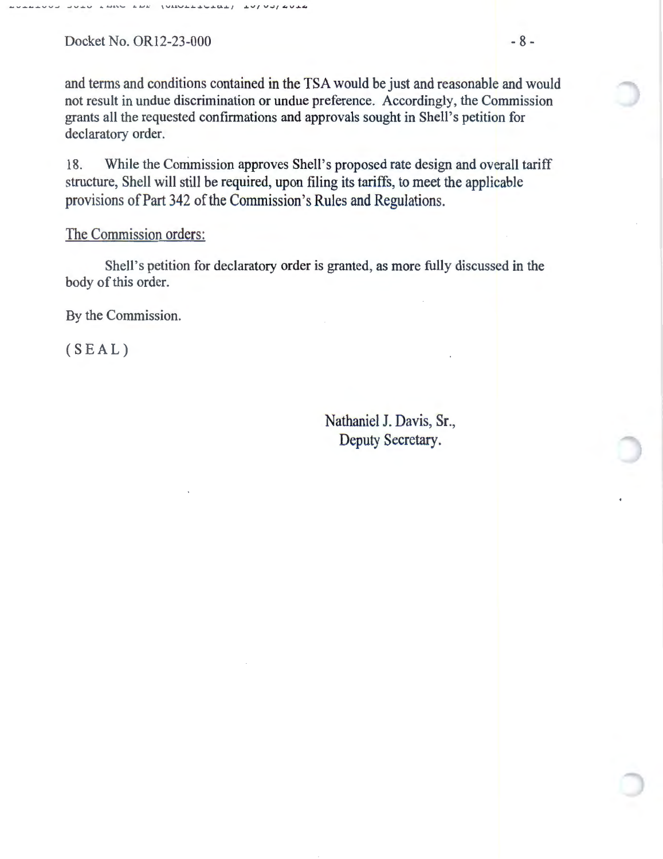Docket No. OR12-23-000 - 8 -

and terms and conditions contained in the TSA would be just and reasonable and would not result in undue discrimination or undue preference. Accordingly, the Commission grants all the requested confirmations and approvals sought in Shell's petition for declaratory order.

18. While the Commission approves Shell's proposed rate design and overall tariff structure, Shell will still be required, upon filing its tariffs, to meet the applicable provisions of Part 342 of the Commission's Rules and Regulations.

## The Commission orders:

Shell's petition for declaratory order is granted, as more fully discussed in the body of this order.

By the Commission.

(SEAL)

Nathaniel J. Davis, Sr., Deputy Secretary.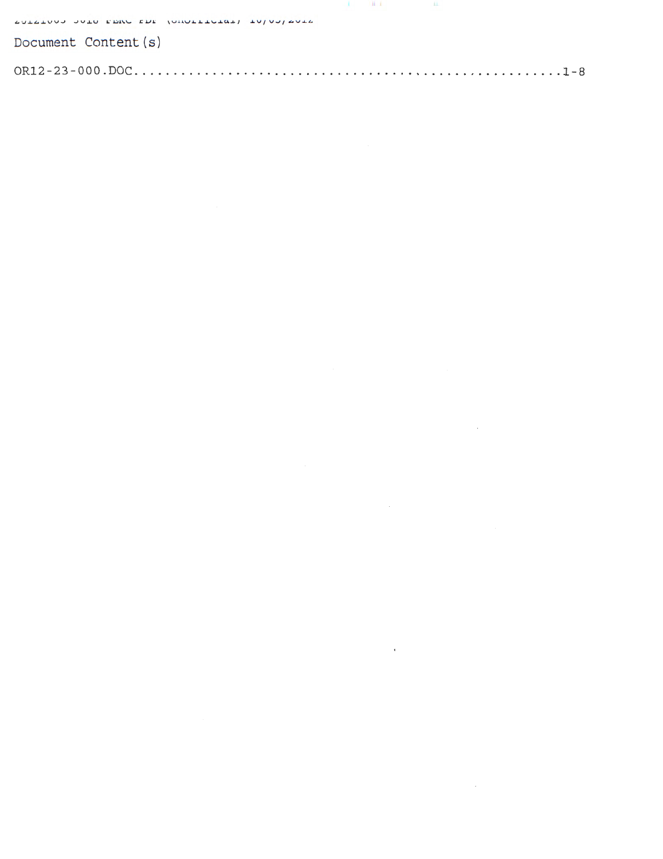| SUISING JUIN FER EDE (UNUILIGIA) INJUJ/AUIS |  |  |  |  |  |
|---------------------------------------------|--|--|--|--|--|
| Document Content (s)                        |  |  |  |  |  |
|                                             |  |  |  |  |  |

 $\label{eq:2.1} \frac{1}{\sqrt{2}}\left(\frac{1}{\sqrt{2}}\right)^{2} \left(\frac{1}{\sqrt{2}}\right)^{2} \left(\frac{1}{\sqrt{2}}\right)^{2} \left(\frac{1}{\sqrt{2}}\right)^{2} \left(\frac{1}{\sqrt{2}}\right)^{2} \left(\frac{1}{\sqrt{2}}\right)^{2} \left(\frac{1}{\sqrt{2}}\right)^{2} \left(\frac{1}{\sqrt{2}}\right)^{2} \left(\frac{1}{\sqrt{2}}\right)^{2} \left(\frac{1}{\sqrt{2}}\right)^{2} \left(\frac{1}{\sqrt{2}}\right)^{2} \left(\$ 

 $\label{eq:2.1} \frac{1}{\sqrt{2}}\int_{\mathbb{R}^3}\frac{1}{\sqrt{2}}\left(\frac{1}{\sqrt{2}}\right)^2\frac{1}{\sqrt{2}}\left(\frac{1}{\sqrt{2}}\right)^2\frac{1}{\sqrt{2}}\left(\frac{1}{\sqrt{2}}\right)^2\frac{1}{\sqrt{2}}\left(\frac{1}{\sqrt{2}}\right)^2.$ 

 $\label{eq:2.1} \frac{1}{\sqrt{2}}\int_{\mathbb{R}^3}\frac{1}{\sqrt{2}}\left(\frac{1}{\sqrt{2}}\right)^2\left(\frac{1}{\sqrt{2}}\right)^2\left(\frac{1}{\sqrt{2}}\right)^2\left(\frac{1}{\sqrt{2}}\right)^2\left(\frac{1}{\sqrt{2}}\right)^2\left(\frac{1}{\sqrt{2}}\right)^2.$